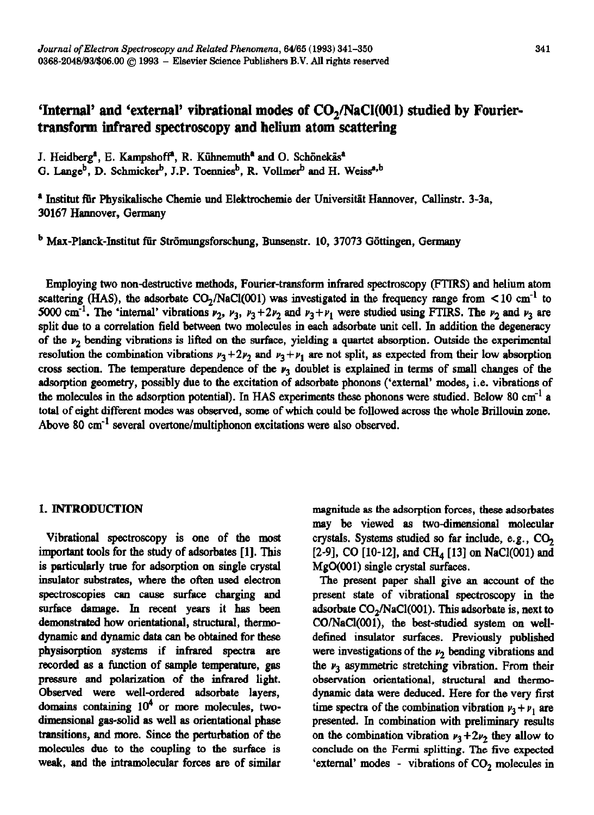# 'Internal' and 'external' vibrational modes of CO<sub>2</sub>/NaCl(001) studied by Fourier**transform infrared spectroscopy and helium atom scattering**

J. Heidberg<sup>a</sup>, E. Kampshoff<sup>a</sup>, R. Kühnemuth<sup>a</sup> and O. Schönekäs<sup>a</sup>

G. Lange<sup>b</sup>, D. Schmicker<sup>b</sup>, J.P. Toennies<sup>b</sup>, R. Vollmer<sup>b</sup> and H. Weiss<sup>a,b</sup>

<sup>a</sup> Institut für Physikalische Chemie und Elektrochemie der Universität Hannover, Callinstr. 3-3a, 30167 Hannover, Germany

<sup>b</sup> Max-Planck-Institut für Strömungsforschung, Bunsenstr. 10, 37073 Göttingen, Germany

Employing two nondestructive methods, Fourier-transform infrared spectroscopy (FTlRS) and helium atom scattering (HAS), the adsorbate  $CO<sub>2</sub>/NaCl(001)$  was investigated in the frequency range from  $< 10 \text{ cm}^{-1}$  to 5000 cm<sup>-1</sup>. The 'internal' vibrations  $v_2$ ,  $v_3$ ,  $v_3 + 2v_2$  and  $v_3 + v_1$  were studied using FTIRS. The  $v_2$  and  $v_3$  are split due to a correlation field between two molecules in each adsorbate unit cell. In addition the degeneracy of the  $\nu_2$  bending vibrations is lifted on the surface, yielding a quartet absorption. Outside the experimental resolution the combination vibrations  $\nu_3 + 2\nu_2$  and  $\nu_3 + \nu_1$  are not split, as expected from their low absorption cross section. The temperature dependence of the  $\nu_3$  doublet is explained in terms of small changes of the adsorption geometry, possibly due to the excitation of adsorbate phonons ('external' modes, i.e. vibrations of the molecules in the adsorption potential). In HAS experiments these phonons were studied. Below 80 cm<sup>-1</sup> a total of eight different modes was observed, some of which could be followed across the whole Brillouin zone. Above 80  $\text{cm}^{-1}$  several overtone/multiphonon excitations were also observed.

### I. INTRODUCTION

Vibrational spectroscopy is one of the most important tools for the study of adsorbates [l]. This is particularly true for adsorption on single crystal insulator substrates, where the often used electron spectroscopies can cause surface charging and surface damage. In recent years it has been demonstrated how orientational, structural, thermodynamic and dynamic data can be obtained for these physisorption systems if infrared spectra are recorded as a function of sample temperature, gas pressure and polarization of the infrared light. Observed were well-ordered adsorbate layers, domains containing  $10^4$  or more molecules, twodimensional gas-solid as well as orientational phase transitions, and more. Since the perturbation of the molecules due to the coupling to the surface is weak, and the intramolecular forces are of similar

magnitude as the adsorption forces, these adsorbates may be viewed as two-dimensional molecular crystals. Systems studied so far include, e.g., CO, [2-9], CO [10-12], and CH<sub>4</sub> [13] on NaCl(001) and MgO(OO1) single crystal surfaces.

The present paper shall give an account of the present state of vibrational spectroscopy in the adsorbate  $CO<sub>2</sub>/NaCl(O01)$ . This adsorbate is, next to CO/NaCl(001), the best-studied system on welldefined insulstor surfaces. Previously published were investigations of the  $\nu_2$  bending vibrations and the  $\nu_3$  asymmetric stretching vibration. From their observation orientational, structural and thermodynamic data were deduced. Here for the very first time spectra of the combination vibration  $\nu_3 + \nu_1$  are presented. In combination with preliminary results on the combination vibration  $\nu_3 + 2\nu_2$  they allow to conclude on the Fermi splitting. The five expected 'external' modes - vibrations of  $CO<sub>2</sub>$  molecules in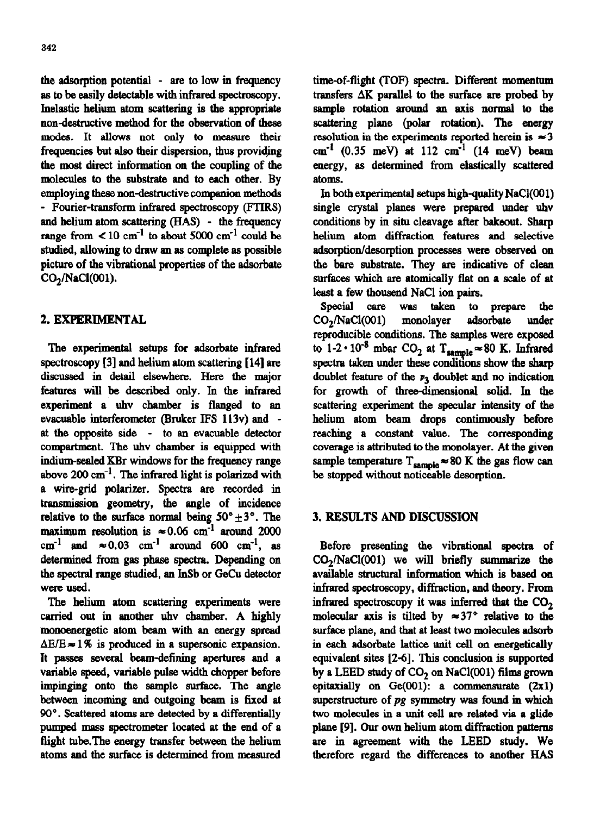**the** adsorption potential - are to low in frequency as to be easily detectable with infrared spectroscopy. Inelastic helium atom scattering is the appropriate non-destructive method for the observation of these modes. It allows not only to measure their frequencies but also their dispersion, thus providing the most direct information on the coupling of the molecules to the substrate and to each other. By employing these non-destructive companion methods - Fourier-transform infrared spectroscopy (FTIRS) and helium atom scattering (HAS) - the frequency range from  $\leq 10$  cm<sup>-1</sup> to about 5000 cm<sup>-1</sup> could be studied, allowing to draw an as complete as possible picture of the vibrational properties of the adsorbate  $CO<sub>2</sub>/NaCl(001)$ .

# 2. EXPERIMENTAL

**The experimental** setups for adsorbate infrared spectroscopy [3] and helium atom scattering [14] are discussed in detail elsewhere. Here the major features will be described only. In the infrared experiment a uhv chamber is flanged to an evacuable interferometer (Bruker IFS 113v) and at the opposite side - to an evacuable detector compartment. The uhv chamber is equipped with indium-sealed KBr windows for the frequency range above  $200 \text{ cm}^{-1}$ . The infrared light is polarized with a wire-grid polarizer. Spectra are recorded in transmission geometry, the angle of incidence relative to the surface normal being  $50^{\circ} \pm 3^{\circ}$ . The maximum resolution is  $\approx 0.06$  cm<sup>-1</sup> around 2000 cm<sup>-1</sup> and  $\approx 0.03$  cm<sup>-1</sup> around 600 cm<sup>-1</sup>, as determined from gas phase spectra. Depending on the spectral range studied, an InSb or GeCu detector were used.

The helium atom scattering experiments were carried out in another uhv chamber. A highly monoenergetic atom beam with an energy spread  $\Delta E/E \approx 1\%$  is produced in a supersonic expansion. It passes several beam-defining apertures and a variable speed, variable pulse width chopper before impinging onto the sample surface. The angle between incoming and outgoing beam is fixed at 90'. Scattered atoms are detected by a differentially pumped mass spectrometer located at the end of a flight tube.The energy transfer between the helium atoms and the surface is determined from measured

time-of-flight (TOF) spectra. Different momentum transfers  $\Delta K$  parallel to the surface are probed by sample rotation around an axis normal to the scattering plane (polar rotation). The energy resolution in the experiments reported herein is  $\approx 3$ cm<sup>-1</sup> (0.35 meV) at 112 cm<sup>-1</sup> (14 meV) beam energy, as determined from eIastically scattered atoms.

In both experimental setups high-quality  $NaCl(001)$ single crystaI planes were prepared under uhv conditions by in situ cleavage after bakeout. Sharp helium atom diffraction features and selective adsorption/desorption processes were observed on the bare substrate. They are indicative of clean surfaces which are atomically flat on a scale of at least a few thousend NaCl ion pairs,

Special care was taken to prepare the CO<sub>2</sub>/NaCl(001) monolayer adsorbate under reproducible conditions. The samples were exposed to  $1-2 \cdot 10^{-8}$  mbar CO<sub>2</sub> at T<sub>sample</sub> = 80 K. Infrared spectra taken under these conditions show the sharp doublet feature of the  $\nu_3$  doublet and no indication for growth of three-dimensional solid. In the scattering experiment the specular intensity of the helium atom beam drops continuously before reaching a constant value. The corresponding coverage is attributed to the monolayer. At the given sample temperature  $T_{sample} \approx 80$  K the gas flow can be stopped without noticeable desorption.

## 3. RESULTS AND DISCUSSION

Before presenting the vibrational spectra of  $CO<sub>2</sub>/NaCl(001)$  we will briefly summarize the available structural information which is based on infrared spectroscopy, diffraction, and theory. From infrared spectroscopy it was inferred that the CO, molecular axis is tilted by  $\approx 37$ ° relative to the surface plane, and that at least two molecules adsorb in each adsorbate lattice unit cell on energetically equivalent sites [2-o]. This conclusion is supported by a LEED study of CO, on NaCl(OO1) films grown epitaxially on  $Ge(001)$ : a commensurate  $(2x1)$ superstructure of *pg symmetry was* found in which two molecules in a unit cell are related via a glide plane [9]. Our own helium atom diffraction pattems are in agreement with the LEED study. We therefore regard the differences to another HAS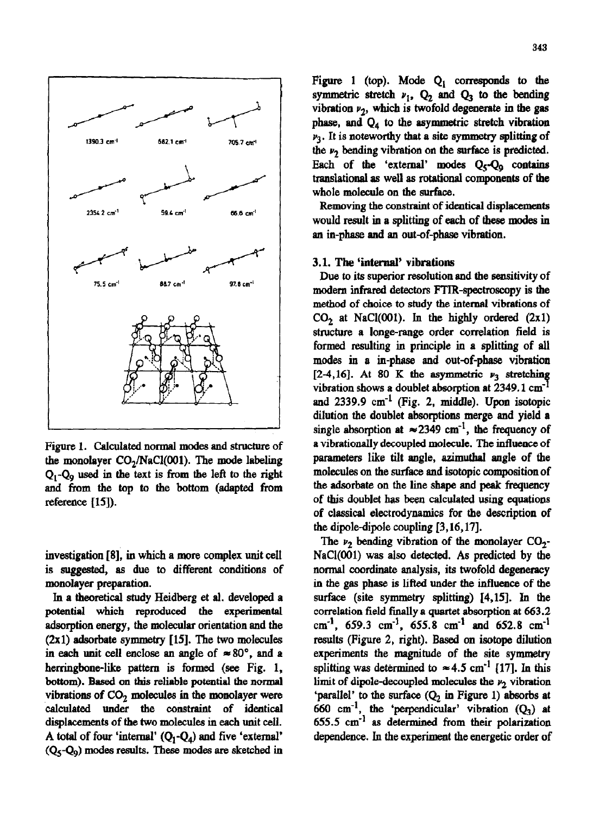

Figure **1. Calculated normal modes and structure of**  the monolayer CO<sub>2</sub>/NaCl(001). The mode labeling  $Q_1$ - $Q_9$  used in the text is from the left to the right and from the top to the bottom {adapted from reference [IS]).

investigation [8], in which a more complex unit cell is suggested, as due to different conditions of monolayer preparation.

In a theoretical study Heidberg et al. developed a potential which reproduced the experimental adsorption energy, the molecular orientation and the (2x1) adsorbate symmetry [15]. The two molecules in each unit cell enclose an angle of  $\approx 80^{\circ}$ , and a herringbone-like pattern is formed (see Fig. 1, bottom). Based on this reliable potential the normal vibrations of  $CO<sub>2</sub>$  molecules in the monolayer were calculated under the constraint of identical displacements of the two molecules in each unit cell. A total of four 'internal'  $(Q_1-Q_4)$  and five 'external'  $(Q_5-Q_9)$  modes results. These modes are sketched in

Figure 1 (top). Mode  $Q_1$  corresponds to the symmetric stretch  $v_1$ ,  $Q_2$  and  $Q_3$  to the bending vibration  $\nu_2$ , which is twofold degenerate in the gas phase, and  $Q_4$  to the asymmetric stretch vibration  $\nu_3$ . It is noteworthy that a site symmetry splitting of the  $\nu_2$  bending vibration on the surface is predicted. Each of the 'external' modes  $Q_{\xi}$ - $Q_{\alpha}$  contains translational ss well as rotational components of the whole molecule on the surface.

Removing the constraint of identical displacements would result in a splitting of each of these modes in an in-phase and an out-of-phase vibration.

#### 3.1. The 'internal' vibrations

Due to its superior resolution and the sensitivity of modern infrared detectors FTIR-spectroscopy is the method of choice to study the internal vibrations of  $CO<sub>2</sub>$  at NaCl(001). In the highly ordered (2x1) structure a longe-range order correlation field is formed resulting in principle in a splitting of all modes in a in-phase and out-of-phase vibration [2-4,16]. At 80 K the asymmetric  $\nu_3$  stretching vibration shows a doublet absorption at  $2349.1 \text{ cm}^{-1}$ and  $2339.9 \text{ cm}^{-1}$  (Fig. 2, middle). Upon isotopic dilution the doublet absorptions merge and yield a single absorption at  $\approx 2349$  cm<sup>-1</sup>, the frequency of a vibrationally decoupled molecule. The infhrence of parameters like tilt angle, aximuthal angle of the molecules on the surface and isotopic composition of the adsorbate on the line shape and peak frequency of this doublet has been calculated using equations of classical electrodynamics for the description of the dipole-dipole coupling [3,16,17].

The  $\nu_2$  bending vibration of the monolayer CO<sub>2</sub>-NaCl(OO1) was also detected. As predicted by the normal coordinate analysis, its twofold degeneracy in the gas phase is lifted under the influence of the surface (site symmetry splitting) [4,15]. In the correlation field finally a quartet absorption at 663.2 cm<sup>-1</sup>, 659.3 cm<sup>-1</sup>, 655.8 cm<sup>-1</sup> and 652.8 cm<sup>-1</sup> results (Figure 2, right). Based on isotope dilution experiments the magnitude of the site symmetry splitting was determined to  $\approx 4.5$  cm<sup>-1</sup> [17]. In this limit of dipole-decoupled molecules the  $\nu_2$  vibration 'parallel' to the surface  $(Q_2$  in Figure 1) absorbs at 660 cm<sup>-1</sup>, the 'perpendicular' vibration  $(Q_3)$  at  $655.5 \text{ cm}^{-1}$  as determined from their polarization dependence. In the experiment the energetic order of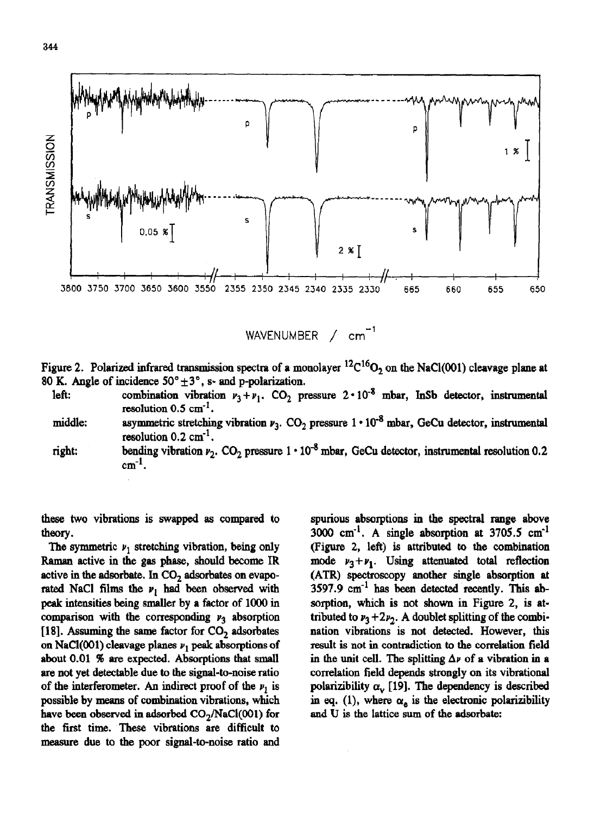

WAVENUMBER  $/$  cm<sup>-1</sup>

Figure 2. Polarized infrared transmission spectra of a monolayer  ${}^{12}C^{16}O_2$  on the NaCl(001) cleavage plane at 80 K. Angle of incidence  $50^{\circ} \pm 3^{\circ}$ , s- and p-polarization.

- left: combination vibration  $v_3 + v_1$ . CO<sub>2</sub> pressure  $2 \cdot 10^{-8}$  mbar, InSb detector, instrumental resolution  $0.5 \text{ cm}^{-1}$ .
- middle: asymmetric stretching vibration  $\nu_3$ . CO<sub>2</sub> pressure  $1 \cdot 10^{-8}$  mbar, GeCu detector, instrumental resolution  $0.2 \text{ cm}^{-1}$ .
- right: bending vibration  $\nu_2$ . CO<sub>2</sub> pressure  $1 \cdot 10^{-8}$  mbar, GeCu detector, instrumental resolution 0.2  $cm^{-1}$ .

these two vibrations is swapped as compared to theory.

The symmetric  $\nu_1$  stretching vibration, being only Raman active in the gas phase, should become IR active in the adsorbate. In  $CO<sub>2</sub>$  adsorbates on evaporated NaCl films the  $v_1$  had been observed with peak intensities being smaller by a factor of 1000 in comparison with the corresponding  $\nu_3$  absorption [18]. Assuming the same factor for  $CO<sub>2</sub>$  adsorbates on NaCl(001) cleavage planes  $\nu_1$  peak absorptions of about 0.01 95 are expected. Absorptions that small are not yet detectable due to the signal-to-noise ratio of the interferometer. An indirect proof of the  $\nu_1$  is possible by means of combination vibrations, which have been observed in adsorbed  $CO<sub>2</sub>/NaCl(001)$  for the first time. These vibrations are difficult to measure due to the poor signal-to-noise ratio and spurious absorptiona in the spectral range above 3000  $cm^{-1}$ . A single absorption at 3705.5  $cm^{-1}$ (Figure 2, left) is attributed to the combination mode  $v_1 + v_1$ . Using attenuated total reflection (AIR) spectroscopy another single absorption at  $3597.9$   $cm^{-1}$  has been detected recently. This absorption, **which** is not shown in Figure 2, is attributed to  $\nu_3 + 2\nu_2$ . A doublet splitting of the combination vibrations is not detected. However, this result is not in contradiction to the correlation field in the unit cell. The splitting  $\Delta \nu$  of a vibration in a correlation field depends strongly on its vibrational polarizibility  $\alpha_{\rm v}$  [19]. The dependency is described in eq. (1), where  $\alpha_e$  is the electronic polarizibility and U is the lattice sum of the adsorbate: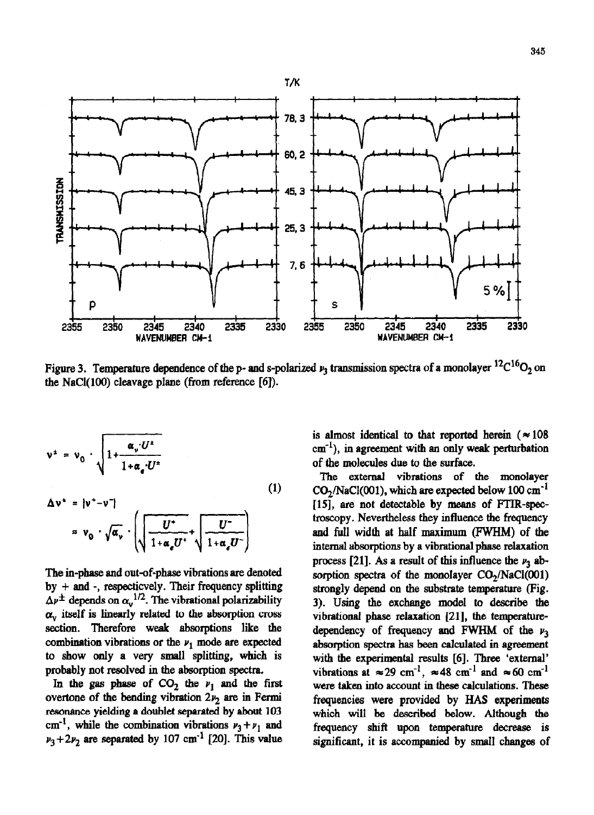

Figure 3. Temperature dependence of the p- and s-polarized  $\nu_3$  transmission spectra of a monolayer  $^{12}C^{16}O_2$  on the NaCl $(100)$  cleavage plane (from reference  $[6]$ ).

$$
\mathbf{v}^{\pm} = \mathbf{v}_0 \cdot \sqrt{1 + \frac{\alpha_v U^{\pm}}{1 + \alpha_e U^{\pm}}}
$$
\n
$$
\Delta \mathbf{v}^{\pm} = |\mathbf{v}^{\pm} - \mathbf{v}^{\pm}|
$$
\n
$$
\approx \mathbf{v}_0 \cdot \sqrt{\alpha_v} \cdot \left( \sqrt{\frac{U^{\pm}}{1 + \alpha_e U^{\pm}}} + \sqrt{\frac{U^{\pm}}{1 + \alpha_e U^{\pm}}} \right)
$$
\n(1)

The in-phase and out-of-phase vibrations are denoted by 
$$
+
$$
 and  $-$ , respectively. Their frequency splitting  $\Delta \nu^{\pm}$  depends on  $\alpha_v^{1/2}$ . The vibrational polarizability  $\alpha_v$  itself is linearly related to the absorption cross section. Therefore weak absorptions like the combination vibrations or the  $\nu_1$  mode are expected to show only a very small splitting, which is probably not resolved in the absorption spectra.

In the gas phase of  $CO_2$  the  $\nu_1$  and the first overtone of the bending vibration  $2v_2$  are in Fermi resonance yielding **a** doublet separated by **about** 103 cm<sup>-1</sup>, while the combination vibrations  $v_3 + v_1$  and  $\nu_3 + 2\nu_2$  are separated by 107 cm<sup>-1</sup> [20]. This value is almost identical to that reported herein ( $\approx 108$ )  $cm^{-1}$ ), in agreement with an only weak perturbation of the molecules due to the surface.

The external vibrations of the monolayer  $CO<sub>2</sub>/NaCl(001)$ , which are expected below 100 cm<sup>-1</sup> [15], are not detectable by means of FTIR-spectroscopy. Nevertheless they influence the frequency and full width at half maximum (FWHM) of the internal absorptions by a vibrational phase relaxation process [21]. As a result of this influence the  $\nu_3$  absorption spectra of the monolayer  $CO<sub>2</sub>/NaCl(001)$ strongly depend on the substrate temperature (Fig. 3). Using the exchange model to describe the vibrational phase relaxation  $[21]$ , the temperaturedependency of frequency and FWHM of the  $\nu_3$ absorption spectra has been calculated in agreement with the experimental results [6]. Three 'external' vibrations at  $\approx 29$  cm<sup>-1</sup>,  $\approx 48$  cm<sup>-1</sup> and  $\approx 60$  cm<sup>-1</sup> were taken into account in these calculations. These frequencies were provided by HAS experiments which will be described below. Although the frequency shift upon temperature decrease is significant, it is accompanied by small changes of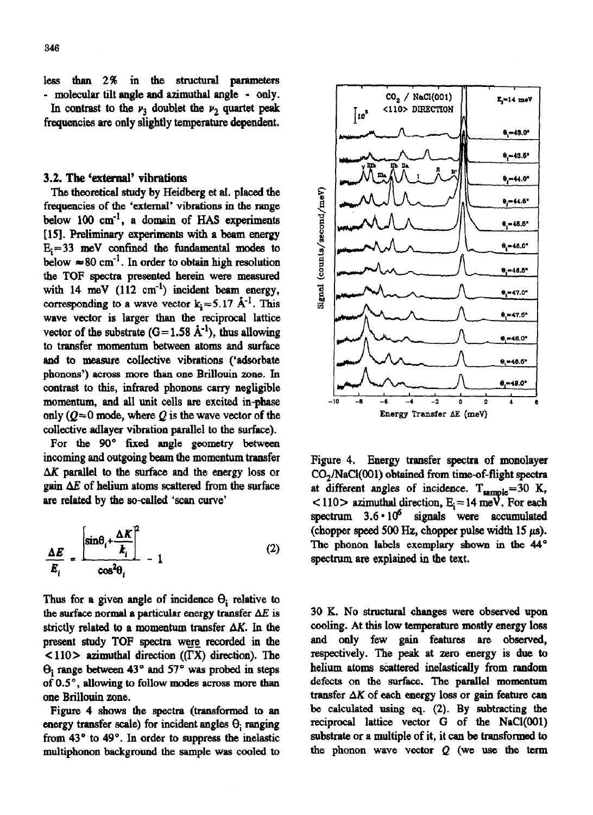frequencies are only slightly temperature dependent.

## 3.2. The 'external' vibrations

The theoretical study by Heidberg et al. placed the frequencies of the 'external' vibrations in the range below 100  $cm^{-1}$ , a domain of HAS experiments [15]. Preliminary experiments with a beam energy  $E_i=33$  meV confined the fundamental modes to below  $\approx 80 \text{ cm}^{-1}$ . In order to obtain high resolution the TOF spectra presented herein were measured with 14 meV  $(112 \text{ cm}^{-1})$  incident beam energy, corresponding to a wave vector  $k = 5.17 \text{ Å}^{-1}$ . This wave vector is larger than the reciprocal lattice vector of the substrate  $(G=1.58 \text{ Å}^{-1})$ , thus allowing to transfer momentum between atoms and surface and to measure collective vibrations ('adsorbate phonons') across more than one Brillouin zone. In contrast to this, infrared phonons carry negligible momentum, and all unit cells are excited in-phase only  $(Q=0 \text{ mode}, \text{ where } Q$  is the wave vector of the collective adlayer vibration parallel to the surface).

For the 90° fixed angle geometry between incoming and outgoing beam the momentum transfer  $\Delta K$  parallel to the surface and the energy loss or gain  $\Delta E$  of helium atoms scattered from the surface are related by the so-called 'scan curve'

$$
\frac{\Delta E}{E_i} = \frac{\left[\sin\theta_i + \frac{\Delta K}{k_i}\right]^2}{\cos^2\theta_i} - 1
$$
 (2)

Thus for a given angle of incidence  $\Theta_i$  relative to the surface normal a particular energy transfer  $\Delta E$  is strictly related to a momentum transfer  $\Delta K$ . In the present study TOF spectra were recorded in the  $\langle 110 \rangle$  azimuthal direction ( $\langle$  TX) direction). The  $\Theta$ <sub>i</sub> range between 43° and 57° was probed in steps of  $0.5^\circ$ , allowing to follow modes across more than one Brillouin zone.

Figure 4 shows the spectra (transformed to an energy transfer scale) for incident angles  $\Theta$ ; ranging from  $43^{\circ}$  to  $49^{\circ}$ . In order to suppress the inelastic multiphonon background the sample was cooled to



Figure 4. Energy transfer spectra of monolayer CO<sub>2</sub>/NaCl(001) obtained from time-of-flight spectra at different angles of incidence.  $T_{\text{sample}} = 30$  K,  $<$  110  $>$  azimuthal direction, E<sub>i</sub> = 14 meV. For each spectrum  $3.6 \cdot 10^6$  signals were accumulated (chopper speed 500 Hz, chopper pulse width 15  $\mu$ s). The phonon labels exemplary shown in the 44° spectrum are explained in the text.

30 K. No structural changes were observed upon cooling. At this low temperature mostly energy loss and only few gain features are observed, respectively. The peak at zero energy is due to helium atoms scattered inelastically from random defects on the surface. The parallel momentum transfer  $\Delta K$  of each energy loss or gain feature can be calculated using eq. (2). By subtracting the reciprocal lattice vector G of the NaCl(OO1) substrate or a multiple of it, it can be transformed to the phonon wave vector  $Q$  (we use the term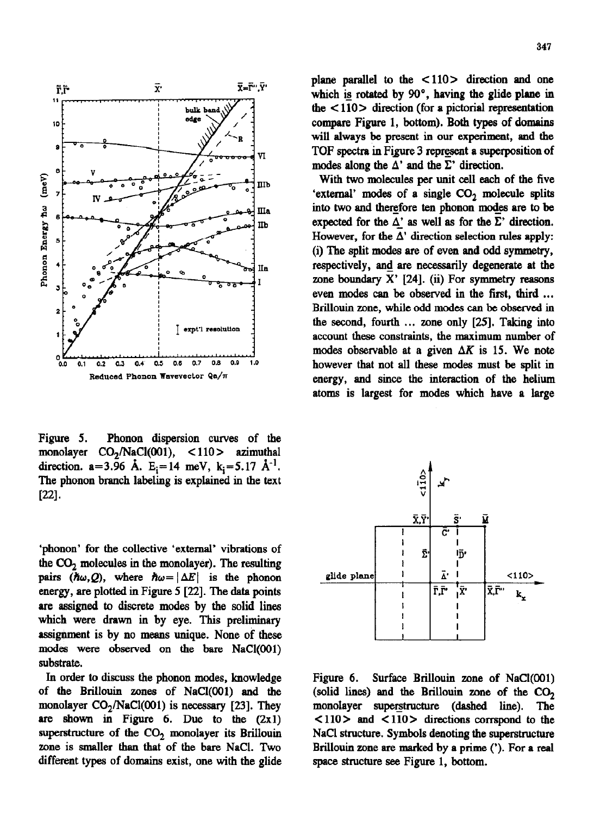

Figure 5. Phonon dispersion curves of the monolayer CO<sub>2</sub>/NaCl(001), <110 > azimuthal direction.  $a=3.96$  Å.  $E_i=14$  meV,  $k_i=5.17$  Å<sup>-1</sup>. The phonon branch labeling is explained in the **text**   $[22]$ .

'phonon' for the collective 'external' vibrations of the  $CO<sub>2</sub>$  molecules in the monolayer). The resulting pairs  $(\hbar\omega, Q)$ , where  $\hbar\omega = |\Delta E|$  is the phonon energy, are plotted in Figure 5 [22]. The data points are assigned to discrete modes by the solid lines which were drawn in by eye. This preliminary assignment is by no means unique. None of these modes were observed on the bare NaCl(OO1) substrate.

In order to discuss the phonon modes, knowledge Figure 6. Surface Brillouin zone of NaCl(OO1) of the Brillouin zones of NaCl(001) and the (solid lines) and the Brillouin zone of the  $CO<sub>2</sub>$ monolayer  $CO<sub>2</sub>/NaCl(001)$  is necessary [23]. They monolayer superstructure (dashed line). The are shown in Figure 6. Due to the  $(2x1)$  <  $110$  and  $\lt 110$  directions corrspond to the superstructure of the  $CO<sub>2</sub>$  monolayer its Brillouin NaCl structure. Symbols denoting the superstructure zone is smaller than that of the bare NaCI. Two Brillouin zone are marked by a prime ('). For a real different types of domains exist, one with the glide space structure see Figure 1, bottom.

plane parallel to the  $\langle 110 \rangle$  direction and one which is rotated by  $90^\circ$ , having the glide plane in the  $\langle 110 \rangle$  direction (for a pictorial representation compare Figure 1, bottom). Both types of domains will always be present in our experiment, and the  $V_{\text{VI}}$  TOF spectra in Figure 3 represent a superposition of modes along the  $\Delta'$  and the  $\Sigma'$  direction.

> With two molecules per unit cell each of the five 'external' modes of a single CO, molecule splits into two and therefore ten phonon modes are to be expected for the  $\Delta'$  as well as for the  $\Sigma'$  direction. However, for the  $\Delta'$  direction selection rules apply: (i) The split modes are of even and odd symmetry, respectively, and are necessarily degenerate at the xone boundary X' [24]. (ii) For symmetry reasons even modes can be observed in the first, third ... Brillouin zone, while odd modes can be observed in the second, fourth ... zone only [25]. Taking into account these constraints, the maximum number of modes observable at a given  $\Delta K$  is 15. We note however that not all these modea must be split in energy, and since the interaction of the helium atoms is largest for modes which have a large

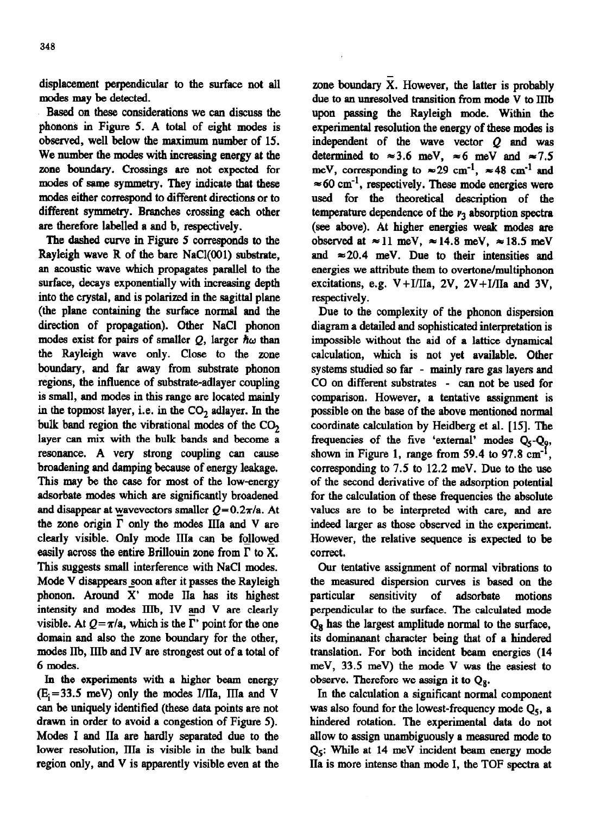displacement perpendicular to the surface not all modes may be detected.

Based on these considerations we can discuss the phonons in Figure 5. A total of eight modes is observed, well below the maximum number of 15. We number the modes with increasing energy at the zone boundary. Crossings are not expected for modes of same symmetry. They indicate that these modes either correspond to different directions or to different symmetry. Branches crossing each other are therefore labelled a and b, respectively.

The dashed curve in Figure 5 corresponds to the Rayleigh wave R of the bare NaCl(OO1) substrate, an acoustic wave which propagates parallel to the surface, decays exponentially with increasing depth into the crystal, and is polarized in the sagittal plane (the plane containing the surface normal and the direction of propagation). Other NaCl phonon modes exist for pairs of smaller  $Q$ , larger  $\hbar\omega$  than the Rayleigh wave only. Close to the zone boundary, and far away from substrate phonon regions, the influence of substrate-adlayer coupling is small, and modes in this range arc located mainly in the topmost layer, i.e. in the  $CO<sub>2</sub>$  adlayer. In the bulk band region the vibrational modes of the CO, layer can mix with the bulk bands and become a resonance. A very strong coupling can cause broadening and damping because of energy leakage. This may be the case for most of the low-energy adsorbate modes which are significantly broadened and disappear at wavevectors smaller  $Q=0.2\pi/a$ . At the zone origin  $\Gamma$  only the modes IIIa and V are clearly visible. Only mode IIIa can be followed easily across the entire Brillouin zone from  $\Gamma$  to X. This suggests small interference with NaCl modes. Mode V disappears soon after it passes the Rayleigh phonon. Around X' mode IIa has its highest intensity and modes IIIb, IV and V are clearly visible. At  $Q = \pi/a$ , which is the  $\Gamma'$  point for the one domain and also the zone boundary for the other, modes IIb, IIIb and IV are strongest out of a total of 6 modes.

In the experiments with a higher beam energy  $(E_i=33.5 \text{ meV})$  only the modes I/IIa, IIIa and V can be uniquely identified (these data points are not drawn in order to avoid a congestion of Figure 5). Modes I and IIa are hardly separated due to the lower resolution, IIIa is visible in the bulk band region only, and V is apparently visible even at the

zone boundary X. However, the latter is probably due to an unresolved transition from mode V to IIIb upon passing the Rayleigh mode. Within the experimental resolution the energy of these modes is independent of the wave vector  $Q$  and was determined to  $\approx 3.6$  meV,  $\approx 6$  meV and  $\approx 7.5$ meV, corresponding to  $\approx 29$  cm<sup>-1</sup>,  $\approx 48$  cm<sup>-1</sup> and  $\approx 60$  cm<sup>-1</sup>, respectively. These mode energies were **used** for the theoretical description of the temperature dependence of the  $\nu_3$  absorption spectra (see above). At higher energies weak modes are observed at  $\approx 11$  meV,  $\approx 14.8$  meV,  $\approx 18.5$  meV and  $\approx$  20.4 meV. Due to their intensities and energies we attribute them to overtone/multiphonon excitations, e.g.  $V+I/IIa$ , 2V,  $2V+I/IIa$  and 3V, respectively.

Due to the complexity of the phonon dispersion diagram a detailed and sophisticated interpretation is impossible without the aid of a lattice dynamical calculation, which is not yet available. Other systems studied so far - mainly rare gas layers and CO on different substrates - can not be used for comparison. However, a tentative assignment is possible on the base of the above mentioned normal coordinate calculation by Heidberg et al. [15]. The frequencies of the five 'external' modes  $Q<sub>5</sub>-Q<sub>9</sub>$ , shown in Figure 1, range from 59.4 to 97.8  $cm<sup>-1</sup>$ , corresponding to 7.5 to 12.2 meV. Due to the use of the second derivative of the adsorption potential for the calculation of these frequencies the absolute values are to be interpreted with care, and are indeed larger as those observed in the experiment. However, the relative sequence is expected to be correct.

Our tentative assignment of normal vibrations to the measured dispersion curves is based on the particular sensitivity of adsorbate motions perpendicular to the surface. The calculated mode  $Q_8$  has the largest amplitude normal to the surface, its dominanant character being that of a hindered translation. For both incident beam energies (14 meV, 33.5 meV) the mode V was the easiest to observe. Therefore we assign it to  $Q_8$ .

In the calculation a significant normal component was also found for the lowest-frequency mode  $Q<sub>s</sub>$ , a hindered rotation. The experimental data do not allow to assign unambiguously a measured mode to  $Q<sub>5</sub>$ : While at 14 meV incident beam energy mode IIa is more intense than mode I, the TOF spectra at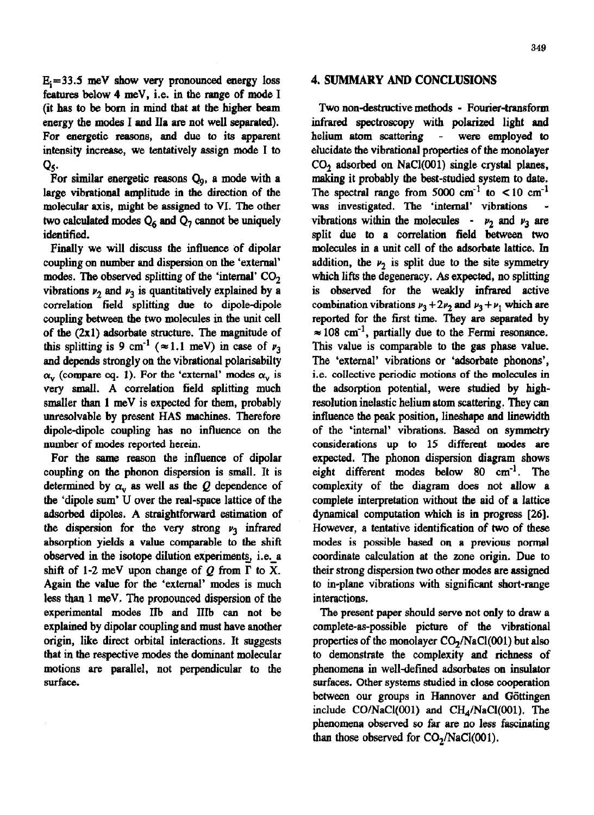349

 $E_i = 33.5$  meV show very pronounced energy loss features below 4 meV, i.e. in tbe range of mode I (it has to be born in mind that at the higher beam energy the modes I and Ila are not well separated). For energetic reasons, and due to its apparent intensity increase, we tentatively assign mode I to Q<.

For similar energetic reasons  $Q<sub>9</sub>$ , a mode with a large vibrational amplitude in the direction of the molecular axis, might be assigned to VI. The other two calculated modes  $Q_6$  and  $Q_7$  cannot be uniquely identified.

Finally we will discuss the influence of dipolar coupling on number and dispersion on the 'external' modes. The observed splitting of the 'internal'  $CO<sub>2</sub>$ vibrations  $\nu_2$  and  $\nu_3$  is quantitatively explained by a correlation field splitting **due to** dipole-dipole coupling between the two molecules in the unit cell of the (2x1) adsorbate structure. The magnitude of this splitting is 9 cm<sup>-1</sup> ( $\approx$  1.1 meV) in case of  $\nu_3$ and dependa strongly on the vibrational polarisabilty  $\alpha_{\rm v}$  (compare eq. 1). For the 'external' modes  $\alpha_{\rm v}$  is very small. A correlation field splitting much smaller than 1 meV is expected for them, probably unresolvable by present HAS machines. Therefore dipole-dipole coupling has no influence on the number of modes reported herein.

For the same reason the influence of dipolar coupling on the phonon dispersion is small. It is determined by  $\alpha_v$  as well as the Q dependence of the 'dipole sum' U over the real-space lattice of the adsorbed dipoles. **A** straightforward estimation of the dispersion for the very strong  $\nu_3$  infrared absorption yields a value comparable to the shift observed in the isotope dilution experiments, i.e. a shift of 1-2 meV upon change of  $Q$  from  $\Gamma$  to X. Again the value for the 'external' modes is much less than 1 mcV, The pronounced dispersion of the experimental modes IIb and IIIb can not be explained by dipolar coupling and must have another origin, like direct orbital interactions. It suggests that in the respective modes the dominant molecular motions are parallel, not perpendicular to the surface.

## 4. SUMMARY AND CONCLUSIONS

Two non-destructive methods - Fourier-transform infrared spectroscopy with polarized light and **helium atom** scattering - were employed to elucidate the vibrational properties of the monolayer CO, adsorbed on NaCl(OO1) single crystal planes, making it probably the best-studied system to date. The spectral range from 5000 cm<sup>-1</sup> to  $\lt 10$  cm<sup>-1</sup> was investigated. The 'internal' vibrations vibrations within the molecules -  $\nu_2$  and  $\nu_3$  are split due to a correlation field between two molecules in a unit cell of the adsorbate lattice. In addition, the  $\nu_2$  is split due to the site symmetry which lifts the degeneracy. As expected, no splitting is observed for the weakly infrared active combination vibrations  $\nu_3 + 2\nu_2$  and  $\nu_3 + \nu_1$  which are reported for the first time. They are separated by  $\approx 108$  cm<sup>-1</sup>, partially due to the Fermi resonance. This value is comparable to the gas phase value. The 'external' vibrations or 'adsorbate phonons', i.e. collective periodic motions of the molecules in the adsorption potential, were studied by highresolution inelastic helium atom scattering. They can influence the peak position, lineshape and linewidth of the 'internal' vibrations. Based on symmetry considerations up to 15 different modes are expected. The phonon dispersion diagram shows eight different modes below 80 cm-l. The complexity of the diagram does not allow a complete interpretation without the aid of a lattice dynamical computation which is in progress [26]. However, a tentative identification of two of these modes is possible based on a previous normal coordinate calculation at the zone origin. Due to their strong dispersion two other modes are assigned to m-plane vibrations with significant short-range interactions.

The present paper should serve not only to draw a complete-as-possible picture of the vibrational properties of the monolayer  $CO<sub>2</sub>/NaCl(001)$  but also to demonstrate the complexity and richness of phenomena in well-defined adsorbates on insulator surfaces. Other systems studied in close cooperation between our groups in Hannover and Göttingen include  $CO/NaCl(001)$  and  $CH<sub>4</sub>/NaCl(001)$ . The phenomena observed so far are no less fascinating than those observed for  $CO<sub>2</sub>/NaCl(001)$ .